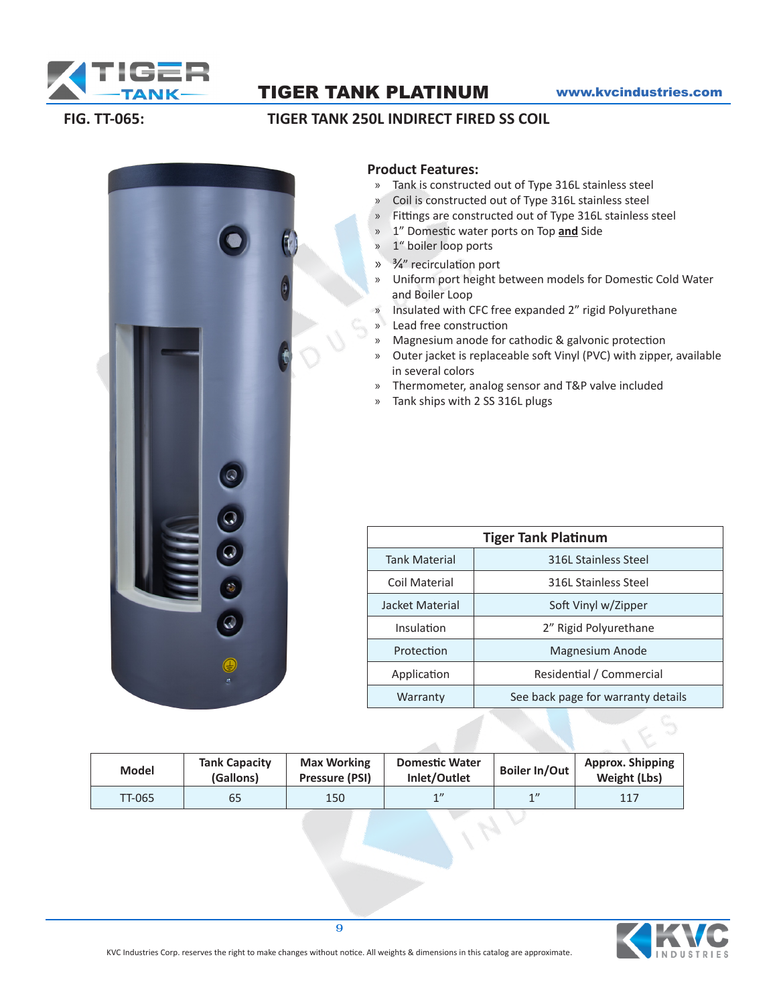

### TIGER TANK PLATINUM www.kvcindustries.com

#### **FIG. TT-065: TIGER TANK 250L INDIRECT FIRED SS COIL**



## **Product Features:**

- » Tank is constructed out of Type 316L stainless steel
- » Coil is constructed out of Type 316L stainless steel
- » Fittings are constructed out of Type 316L stainless steel
- » 1" Domestic water ports on Top **and** Side
- » 1" boiler loop ports
- » 3/4" recirculation port
- » Uniform port height between models for Domestic Cold Water and Boiler Loop
- » Insulated with CFC free expanded 2" rigid Polyurethane
- » Lead free construction
- » Magnesium anode for cathodic & galvonic protection
- » Outer jacket is replaceable soft Vinyl (PVC) with zipper, available in several colors
- » Thermometer, analog sensor and T&P valve included
- » Tank ships with 2 SS 316L plugs

| <b>Tiger Tank Platinum</b> |                                    |  |  |  |  |  |
|----------------------------|------------------------------------|--|--|--|--|--|
| <b>Tank Material</b>       | 316L Stainless Steel               |  |  |  |  |  |
| Coil Material              | 316L Stainless Steel               |  |  |  |  |  |
| Jacket Material            | Soft Vinyl w/Zipper                |  |  |  |  |  |
| Insulation                 | 2" Rigid Polyurethane              |  |  |  |  |  |
| Protection                 | Magnesium Anode                    |  |  |  |  |  |
| Application                | Residential / Commercial           |  |  |  |  |  |
| Warranty                   | See back page for warranty details |  |  |  |  |  |

| <b>Model</b>  | <b>Tank Capacity</b><br>(Gallons) | <b>Max Working</b><br>Pressure (PSI) | <b>Domestic Water</b><br>Inlet/Outlet | <b>Boiler In/Out</b> | Approx. Shipping<br>Weight (Lbs) |
|---------------|-----------------------------------|--------------------------------------|---------------------------------------|----------------------|----------------------------------|
| <b>TT-065</b> | 65                                | 150                                  | 1                                     | 1                    | 117                              |